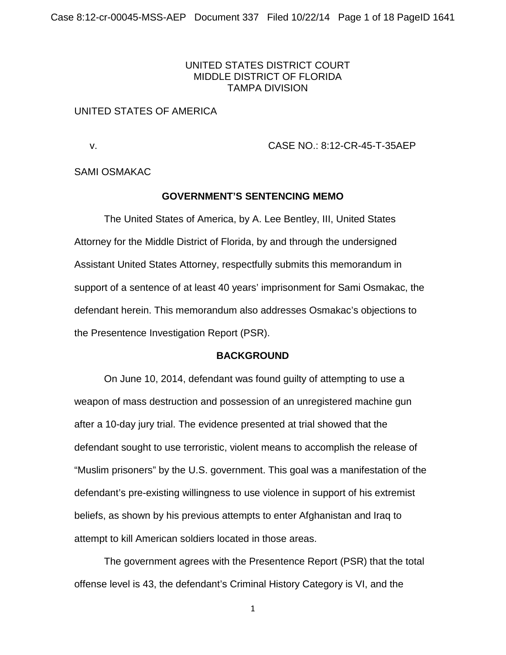## UNITED STATES DISTRICT COURT MIDDLE DISTRICT OF FLORIDA TAMPA DIVISION

### UNITED STATES OF AMERICA

v. CASE NO.: 8:12-CR-45-T-35AEP

SAMI OSMAKAC

#### **GOVERNMENT'S SENTENCING MEMO**

The United States of America, by A. Lee Bentley, III, United States Attorney for the Middle District of Florida, by and through the undersigned Assistant United States Attorney, respectfully submits this memorandum in support of a sentence of at least 40 years' imprisonment for Sami Osmakac, the defendant herein. This memorandum also addresses Osmakac's objections to the Presentence Investigation Report (PSR).

#### **BACKGROUND**

On June 10, 2014, defendant was found guilty of attempting to use a weapon of mass destruction and possession of an unregistered machine gun after a 10-day jury trial. The evidence presented at trial showed that the defendant sought to use terroristic, violent means to accomplish the release of "Muslim prisoners" by the U.S. government. This goal was a manifestation of the defendant's pre-existing willingness to use violence in support of his extremist beliefs, as shown by his previous attempts to enter Afghanistan and Iraq to attempt to kill American soldiers located in those areas.

The government agrees with the Presentence Report (PSR) that the total offense level is 43, the defendant's Criminal History Category is VI, and the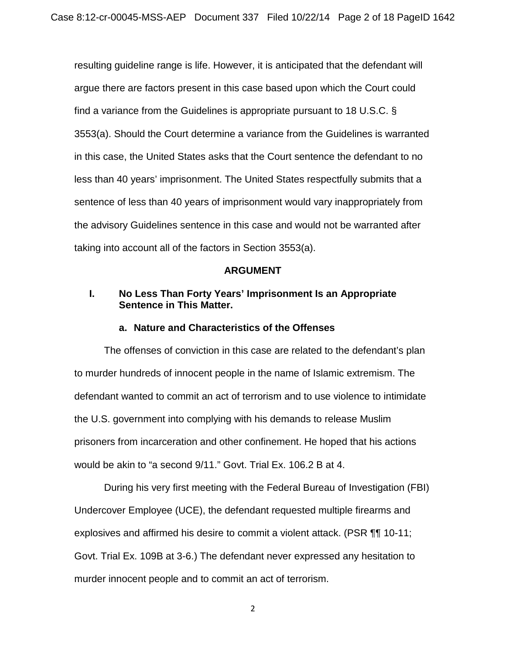resulting guideline range is life. However, it is anticipated that the defendant will argue there are factors present in this case based upon which the Court could find a variance from the Guidelines is appropriate pursuant to 18 U.S.C. § 3553(a). Should the Court determine a variance from the Guidelines is warranted in this case, the United States asks that the Court sentence the defendant to no less than 40 years' imprisonment. The United States respectfully submits that a sentence of less than 40 years of imprisonment would vary inappropriately from the advisory Guidelines sentence in this case and would not be warranted after taking into account all of the factors in Section 3553(a).

#### **ARGUMENT**

## **I. No Less Than Forty Years' Imprisonment Is an Appropriate Sentence in This Matter.**

#### **a. Nature and Characteristics of the Offenses**

The offenses of conviction in this case are related to the defendant's plan to murder hundreds of innocent people in the name of Islamic extremism. The defendant wanted to commit an act of terrorism and to use violence to intimidate the U.S. government into complying with his demands to release Muslim prisoners from incarceration and other confinement. He hoped that his actions would be akin to "a second 9/11." Govt. Trial Ex. 106.2 B at 4.

During his very first meeting with the Federal Bureau of Investigation (FBI) Undercover Employee (UCE), the defendant requested multiple firearms and explosives and affirmed his desire to commit a violent attack. (PSR ¶¶ 10-11; Govt. Trial Ex. 109B at 3-6.) The defendant never expressed any hesitation to murder innocent people and to commit an act of terrorism.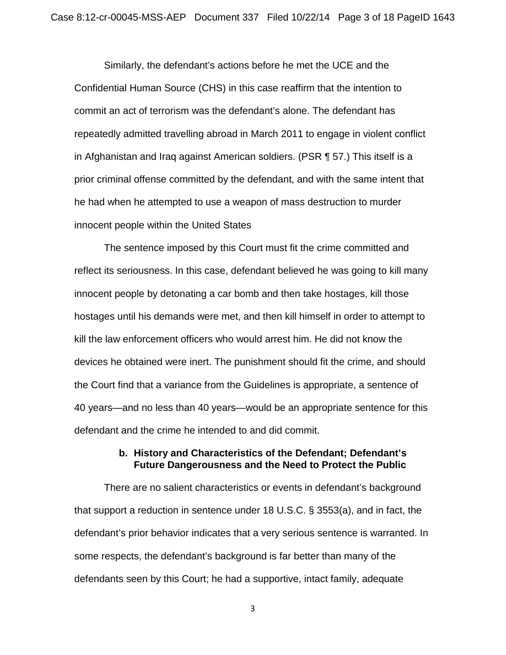Similarly, the defendant's actions before he met the UCE and the Confidential Human Source (CHS) in this case reaffirm that the intention to commit an act of terrorism was the defendant's alone. The defendant has repeatedly admitted travelling abroad in March 2011 to engage in violent conflict in Afghanistan and Iraq against American soldiers. (PSR ¶ 57.) This itself is a prior criminal offense committed by the defendant, and with the same intent that he had when he attempted to use a weapon of mass destruction to murder innocent people within the United States

The sentence imposed by this Court must fit the crime committed and reflect its seriousness. In this case, defendant believed he was going to kill many innocent people by detonating a car bomb and then take hostages, kill those hostages until his demands were met, and then kill himself in order to attempt to kill the law enforcement officers who would arrest him. He did not know the devices he obtained were inert. The punishment should fit the crime, and should the Court find that a variance from the Guidelines is appropriate, a sentence of 40 years—and no less than 40 years—would be an appropriate sentence for this defendant and the crime he intended to and did commit.

## **b. History and Characteristics of the Defendant; Defendant's Future Dangerousness and the Need to Protect the Public**

There are no salient characteristics or events in defendant's background that support a reduction in sentence under 18 U.S.C. § 3553(a), and in fact, the defendant's prior behavior indicates that a very serious sentence is warranted. In some respects, the defendant's background is far better than many of the defendants seen by this Court; he had a supportive, intact family, adequate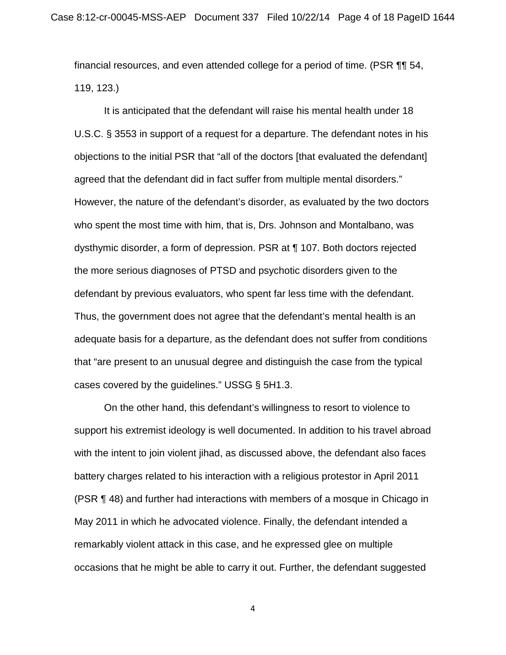financial resources, and even attended college for a period of time. (PSR ¶¶ 54, 119, 123.)

It is anticipated that the defendant will raise his mental health under 18 U.S.C. § 3553 in support of a request for a departure. The defendant notes in his objections to the initial PSR that "all of the doctors [that evaluated the defendant] agreed that the defendant did in fact suffer from multiple mental disorders." However, the nature of the defendant's disorder, as evaluated by the two doctors who spent the most time with him, that is, Drs. Johnson and Montalbano, was dysthymic disorder, a form of depression. PSR at ¶ 107. Both doctors rejected the more serious diagnoses of PTSD and psychotic disorders given to the defendant by previous evaluators, who spent far less time with the defendant. Thus, the government does not agree that the defendant's mental health is an adequate basis for a departure, as the defendant does not suffer from conditions that "are present to an unusual degree and distinguish the case from the typical cases covered by the guidelines." USSG § 5H1.3.

On the other hand, this defendant's willingness to resort to violence to support his extremist ideology is well documented. In addition to his travel abroad with the intent to join violent jihad, as discussed above, the defendant also faces battery charges related to his interaction with a religious protestor in April 2011 (PSR ¶ 48) and further had interactions with members of a mosque in Chicago in May 2011 in which he advocated violence. Finally, the defendant intended a remarkably violent attack in this case, and he expressed glee on multiple occasions that he might be able to carry it out. Further, the defendant suggested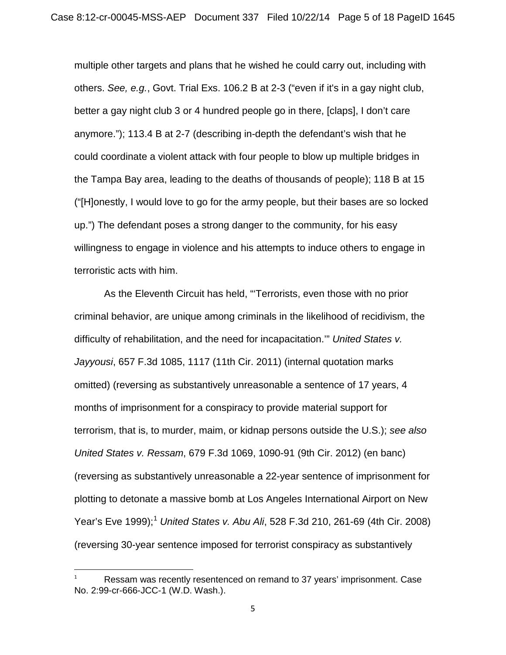multiple other targets and plans that he wished he could carry out, including with others. *See, e.g.*, Govt. Trial Exs. 106.2 B at 2-3 ("even if it's in a gay night club, better a gay night club 3 or 4 hundred people go in there, [claps], I don't care anymore."); 113.4 B at 2-7 (describing in-depth the defendant's wish that he could coordinate a violent attack with four people to blow up multiple bridges in the Tampa Bay area, leading to the deaths of thousands of people); 118 B at 15 ("[H]onestly, I would love to go for the army people, but their bases are so locked up.") The defendant poses a strong danger to the community, for his easy willingness to engage in violence and his attempts to induce others to engage in terroristic acts with him.

As the Eleventh Circuit has held, "'Terrorists, even those with no prior criminal behavior, are unique among criminals in the likelihood of recidivism, the difficulty of rehabilitation, and the need for incapacitation.'" *United States v. Jayyousi*, 657 F.3d 1085, 1117 (11th Cir. 2011) (internal quotation marks omitted) (reversing as substantively unreasonable a sentence of 17 years, 4 months of imprisonment for a conspiracy to provide material support for terrorism, that is, to murder, maim, or kidnap persons outside the U.S.); *see also United States v. Ressam*, 679 F.3d 1069, 1090-91 (9th Cir. 2012) (en banc) (reversing as substantively unreasonable a 22-year sentence of imprisonment for plotting to detonate a massive bomb at Los Angeles International Airport on New Year's Eve [1](#page-4-0)999);<sup>1</sup> *United States v. Abu Ali*, 528 F.3d 210, 261-69 (4th Cir. 2008) (reversing 30-year sentence imposed for terrorist conspiracy as substantively

<span id="page-4-0"></span>Ressam was recently resentenced on remand to 37 years' imprisonment. Case No. 2:99-cr-666-JCC-1 (W.D. Wash.).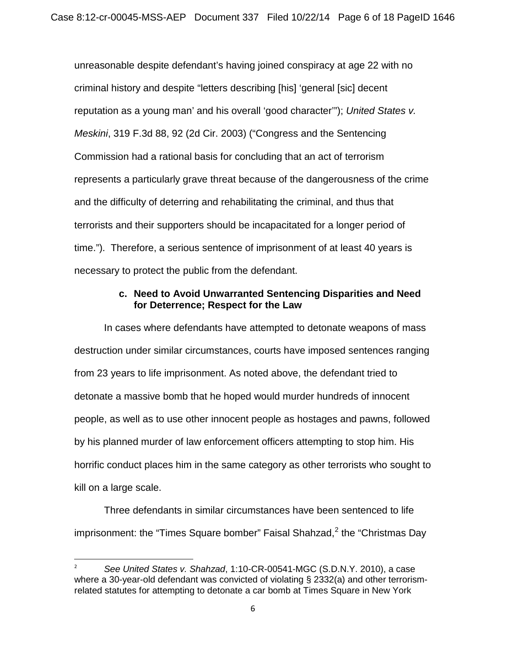unreasonable despite defendant's having joined conspiracy at age 22 with no criminal history and despite "letters describing [his] 'general [sic] decent reputation as a young man' and his overall 'good character'"); *United States v. Meskini*, 319 F.3d 88, 92 (2d Cir. 2003) ("Congress and the Sentencing Commission had a rational basis for concluding that an act of terrorism represents a particularly grave threat because of the dangerousness of the crime and the difficulty of deterring and rehabilitating the criminal, and thus that terrorists and their supporters should be incapacitated for a longer period of time."). Therefore, a serious sentence of imprisonment of at least 40 years is necessary to protect the public from the defendant.

## **c. Need to Avoid Unwarranted Sentencing Disparities and Need for Deterrence; Respect for the Law**

In cases where defendants have attempted to detonate weapons of mass destruction under similar circumstances, courts have imposed sentences ranging from 23 years to life imprisonment. As noted above, the defendant tried to detonate a massive bomb that he hoped would murder hundreds of innocent people, as well as to use other innocent people as hostages and pawns, followed by his planned murder of law enforcement officers attempting to stop him. His horrific conduct places him in the same category as other terrorists who sought to kill on a large scale.

Three defendants in similar circumstances have been sentenced to life imprisonment: the "Times Square bomber" Faisal Shahzad, $2$  the "Christmas Day

<span id="page-5-0"></span> <sup>2</sup> *See United States v. Shahzad*, 1:10-CR-00541-MGC (S.D.N.Y. 2010), a case where a 30-year-old defendant was convicted of violating § 2332(a) and other terrorismrelated statutes for attempting to detonate a car bomb at Times Square in New York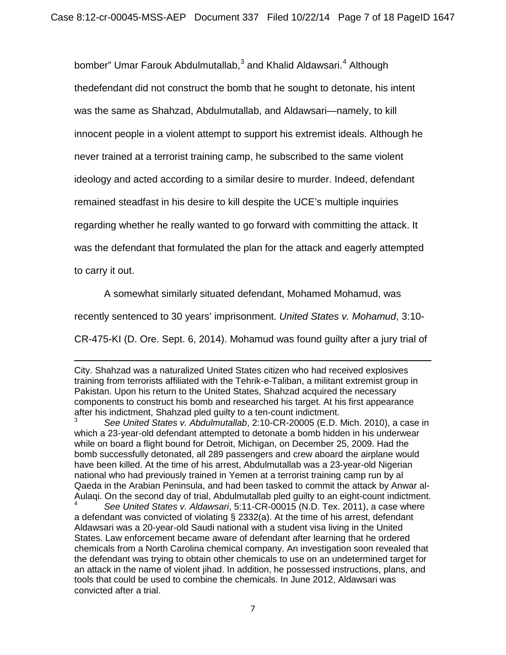bomber" Umar Farouk Abdulmutallab,<sup>[3](#page-6-0)</sup> and Khalid Aldawsari.<sup>[4](#page-6-1)</sup> Although thedefendant did not construct the bomb that he sought to detonate, his intent was the same as Shahzad, Abdulmutallab, and Aldawsari—namely, to kill innocent people in a violent attempt to support his extremist ideals. Although he never trained at a terrorist training camp, he subscribed to the same violent ideology and acted according to a similar desire to murder. Indeed, defendant remained steadfast in his desire to kill despite the UCE's multiple inquiries regarding whether he really wanted to go forward with committing the attack. It was the defendant that formulated the plan for the attack and eagerly attempted

to carry it out.

 $\overline{\phantom{a}}$ 

A somewhat similarly situated defendant, Mohamed Mohamud, was

recently sentenced to 30 years' imprisonment. *United States v. Mohamud*, 3:10-

CR-475-KI (D. Ore. Sept. 6, 2014). Mohamud was found guilty after a jury trial of

City. Shahzad was a naturalized United States citizen who had received explosives training from terrorists affiliated with the Tehrik-e-Taliban, a militant extremist group in Pakistan. Upon his return to the United States, Shahzad acquired the necessary components to construct his bomb and researched his target. At his first appearance after his indictment, Shahzad pled guilty to a ten-count indictment.

<span id="page-6-0"></span><sup>3</sup> *See United States v. Abdulmutallab*, 2:10-CR-20005 (E.D. Mich. 2010), a case in which a 23-year-old defendant attempted to detonate a bomb hidden in his underwear while on board a flight bound for Detroit, Michigan, on December 25, 2009. Had the bomb successfully detonated, all 289 passengers and crew aboard the airplane would have been killed. At the time of his arrest, Abdulmutallab was a 23-year-old Nigerian national who had previously trained in Yemen at a terrorist training camp run by al Qaeda in the Arabian Peninsula, and had been tasked to commit the attack by Anwar al-Aulaqi. On the second day of trial, Abdulmutallab pled guilty to an eight-count indictment.

<span id="page-6-1"></span><sup>4</sup> *See United States v. Aldawsari*, 5:11-CR-00015 (N.D. Tex. 2011), a case where a defendant was convicted of violating § 2332(a). At the time of his arrest, defendant Aldawsari was a 20-year-old Saudi national with a student visa living in the United States. Law enforcement became aware of defendant after learning that he ordered chemicals from a North Carolina chemical company. An investigation soon revealed that the defendant was trying to obtain other chemicals to use on an undetermined target for an attack in the name of violent jihad. In addition, he possessed instructions, plans, and tools that could be used to combine the chemicals. In June 2012, Aldawsari was convicted after a trial.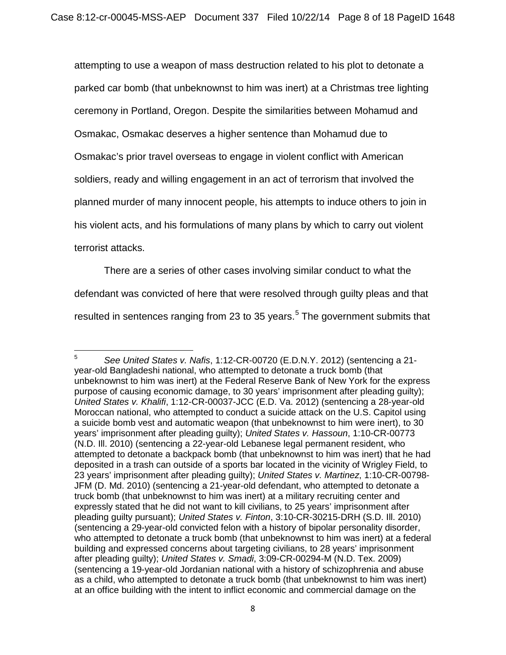attempting to use a weapon of mass destruction related to his plot to detonate a parked car bomb (that unbeknownst to him was inert) at a Christmas tree lighting ceremony in Portland, Oregon. Despite the similarities between Mohamud and Osmakac, Osmakac deserves a higher sentence than Mohamud due to Osmakac's prior travel overseas to engage in violent conflict with American soldiers, ready and willing engagement in an act of terrorism that involved the planned murder of many innocent people, his attempts to induce others to join in his violent acts, and his formulations of many plans by which to carry out violent terrorist attacks.

There are a series of other cases involving similar conduct to what the defendant was convicted of here that were resolved through guilty pleas and that resulted in sentences ranging from 23 to 3[5](#page-7-0) years. $5$  The government submits that

<span id="page-7-0"></span><sup>5</sup> <sup>5</sup> *See United States v. Nafis*, 1:12-CR-00720 (E.D.N.Y. 2012) (sentencing a 21 year-old Bangladeshi national, who attempted to detonate a truck bomb (that unbeknownst to him was inert) at the Federal Reserve Bank of New York for the express purpose of causing economic damage, to 30 years' imprisonment after pleading guilty); *United States v. Khalifi*, 1:12-CR-00037-JCC (E.D. Va. 2012) (sentencing a 28-year-old Moroccan national, who attempted to conduct a suicide attack on the U.S. Capitol using a suicide bomb vest and automatic weapon (that unbeknownst to him were inert), to 30 years' imprisonment after pleading guilty); *United States v. Hassoun*, 1:10-CR-00773 (N.D. Ill. 2010) (sentencing a 22-year-old Lebanese legal permanent resident, who attempted to detonate a backpack bomb (that unbeknownst to him was inert) that he had deposited in a trash can outside of a sports bar located in the vicinity of Wrigley Field, to 23 years' imprisonment after pleading guilty); *United States v. Martinez*, 1:10-CR-00798- JFM (D. Md. 2010) (sentencing a 21-year-old defendant, who attempted to detonate a truck bomb (that unbeknownst to him was inert) at a military recruiting center and expressly stated that he did not want to kill civilians, to 25 years' imprisonment after pleading guilty pursuant); *United States v. Finton*, 3:10-CR-30215-DRH (S.D. Ill. 2010) (sentencing a 29-year-old convicted felon with a history of bipolar personality disorder, who attempted to detonate a truck bomb (that unbeknownst to him was inert) at a federal building and expressed concerns about targeting civilians, to 28 years' imprisonment after pleading guilty); *United States v. Smadi*, 3:09-CR-00294-M (N.D. Tex. 2009) (sentencing a 19-year-old Jordanian national with a history of schizophrenia and abuse as a child, who attempted to detonate a truck bomb (that unbeknownst to him was inert) at an office building with the intent to inflict economic and commercial damage on the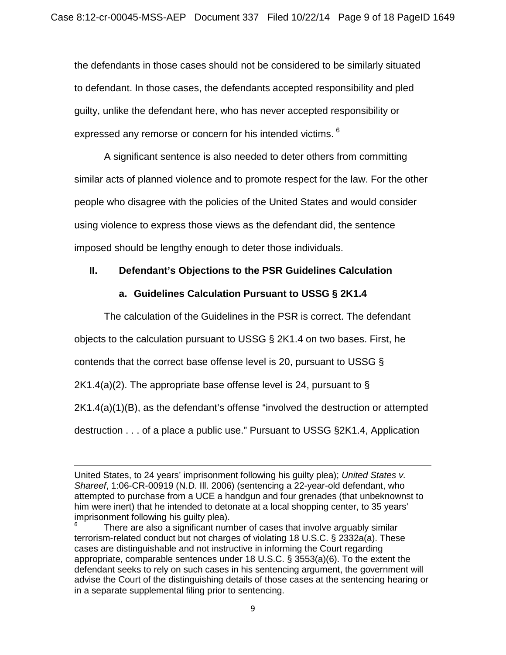the defendants in those cases should not be considered to be similarly situated to defendant. In those cases, the defendants accepted responsibility and pled guilty, unlike the defendant here, who has never accepted responsibility or expressed any remorse or concern for his intended victims. <sup>[6](#page-8-0)</sup>

A significant sentence is also needed to deter others from committing similar acts of planned violence and to promote respect for the law. For the other people who disagree with the policies of the United States and would consider using violence to express those views as the defendant did, the sentence imposed should be lengthy enough to deter those individuals.

# **II. Defendant's Objections to the PSR Guidelines Calculation**

# **a. Guidelines Calculation Pursuant to USSG § 2K1.4**

The calculation of the Guidelines in the PSR is correct. The defendant objects to the calculation pursuant to USSG § 2K1.4 on two bases. First, he contends that the correct base offense level is 20, pursuant to USSG §  $2K1.4(a)(2)$ . The appropriate base offense level is 24, pursuant to § 2K1.4(a)(1)(B), as the defendant's offense "involved the destruction or attempted destruction . . . of a place a public use." Pursuant to USSG §2K1.4, Application

 $\overline{\phantom{a}}$ 

United States, to 24 years' imprisonment following his guilty plea); *United States v. Shareef*, 1:06-CR-00919 (N.D. Ill. 2006) (sentencing a 22-year-old defendant, who attempted to purchase from a UCE a handgun and four grenades (that unbeknownst to him were inert) that he intended to detonate at a local shopping center, to 35 years' imprisonment following his guilty plea).

<span id="page-8-0"></span>There are also a significant number of cases that involve arguably similar terrorism-related conduct but not charges of violating 18 U.S.C. § 2332a(a). These cases are distinguishable and not instructive in informing the Court regarding appropriate, comparable sentences under 18 U.S.C. § 3553(a)(6). To the extent the defendant seeks to rely on such cases in his sentencing argument, the government will advise the Court of the distinguishing details of those cases at the sentencing hearing or in a separate supplemental filing prior to sentencing.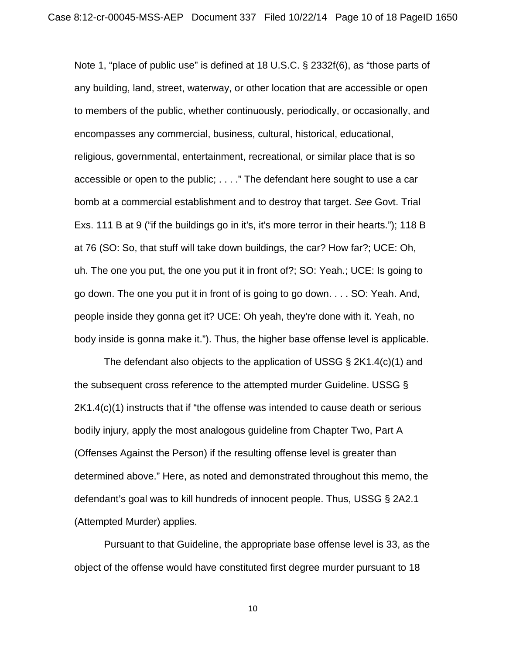Note 1, "place of public use" is defined at 18 U.S.C. § 2332f(6), as "those parts of any building, land, street, waterway, or other location that are accessible or open to members of the public, whether continuously, periodically, or occasionally, and encompasses any commercial, business, cultural, historical, educational, religious, governmental, entertainment, recreational, or similar place that is so accessible or open to the public; . . . ." The defendant here sought to use a car bomb at a commercial establishment and to destroy that target. *See* Govt. Trial Exs. 111 B at 9 ("if the buildings go in it's, it's more terror in their hearts."); 118 B at 76 (SO: So, that stuff will take down buildings, the car? How far?; UCE: Oh, uh. The one you put, the one you put it in front of?; SO: Yeah.; UCE: Is going to go down. The one you put it in front of is going to go down. . . . SO: Yeah. And, people inside they gonna get it? UCE: Oh yeah, they're done with it. Yeah, no body inside is gonna make it."). Thus, the higher base offense level is applicable.

The defendant also objects to the application of USSG § 2K1.4(c)(1) and the subsequent cross reference to the attempted murder Guideline. USSG § 2K1.4(c)(1) instructs that if "the offense was intended to cause death or serious bodily injury, apply the most analogous guideline from Chapter Two, Part A (Offenses Against the Person) if the resulting offense level is greater than determined above." Here, as noted and demonstrated throughout this memo, the defendant's goal was to kill hundreds of innocent people. Thus, USSG § 2A2.1 (Attempted Murder) applies.

Pursuant to that Guideline, the appropriate base offense level is 33, as the object of the offense would have constituted first degree murder pursuant to 18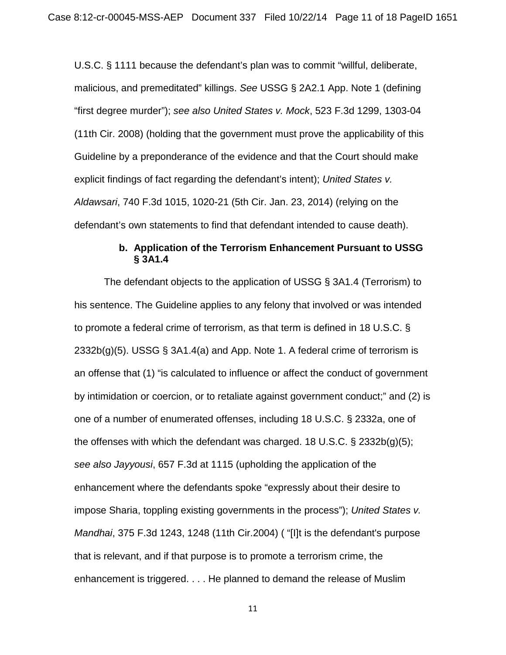U.S.C. § 1111 because the defendant's plan was to commit "willful, deliberate, malicious, and premeditated" killings. *See* USSG § 2A2.1 App. Note 1 (defining "first degree murder"); *see also United States v. Mock*, 523 F.3d 1299, 1303-04 (11th Cir. 2008) (holding that the government must prove the applicability of this Guideline by a preponderance of the evidence and that the Court should make explicit findings of fact regarding the defendant's intent); *United States v. Aldawsari*, 740 F.3d 1015, 1020-21 (5th Cir. Jan. 23, 2014) (relying on the defendant's own statements to find that defendant intended to cause death).

## **b. Application of the Terrorism Enhancement Pursuant to USSG § 3A1.4**

The defendant objects to the application of USSG § 3A1.4 (Terrorism) to his sentence. The Guideline applies to any felony that involved or was intended to promote a federal crime of terrorism, as that term is defined in 18 U.S.C. §  $2332b(g)(5)$ . USSG § 3A1.4(a) and App. Note 1. A federal crime of terrorism is an offense that (1) "is calculated to influence or affect the conduct of government by intimidation or coercion, or to retaliate against government conduct;" and (2) is one of a number of enumerated offenses, including 18 U.S.C. § 2332a, one of the offenses with which the defendant was charged. 18 U.S.C. § 2332b(g)(5); *see also Jayyousi*, 657 F.3d at 1115 (upholding the application of the enhancement where the defendants spoke "expressly about their desire to impose Sharia, toppling existing governments in the process"); *United States v. Mandhai*, 375 F.3d 1243, 1248 (11th Cir.2004) ( "[I]t is the defendant's purpose that is relevant, and if that purpose is to promote a terrorism crime, the enhancement is triggered. . . . He planned to demand the release of Muslim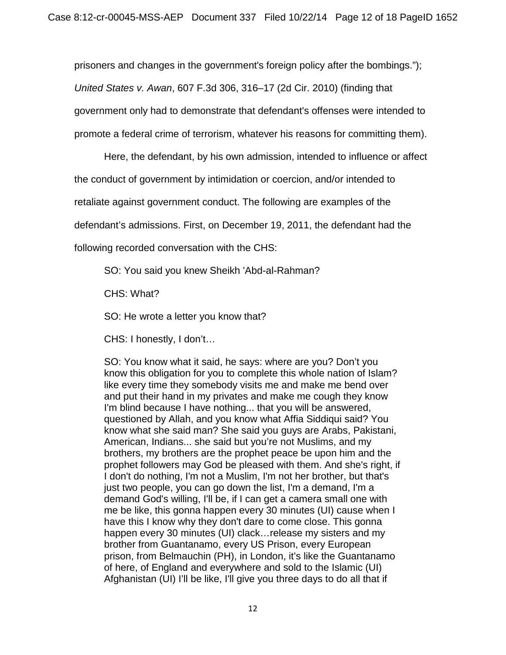prisoners and changes in the government's foreign policy after the bombings."); *United States v. Awan*, 607 F.3d 306, 316–17 (2d Cir. 2010) (finding that government only had to demonstrate that defendant's offenses were intended to promote a federal crime of terrorism, whatever his reasons for committing them).

Here, the defendant, by his own admission, intended to influence or affect the conduct of government by intimidation or coercion, and/or intended to retaliate against government conduct. The following are examples of the defendant's admissions. First, on December 19, 2011, the defendant had the following recorded conversation with the CHS:

SO: You said you knew Sheikh 'Abd-al-Rahman?

CHS: What?

SO: He wrote a letter you know that?

CHS: I honestly, I don't…

SO: You know what it said, he says: where are you? Don't you know this obligation for you to complete this whole nation of Islam? like every time they somebody visits me and make me bend over and put their hand in my privates and make me cough they know I'm blind because I have nothing... that you will be answered, questioned by Allah, and you know what Affia Siddiqui said? You know what she said man? She said you guys are Arabs, Pakistani, American, Indians... she said but you're not Muslims, and my brothers, my brothers are the prophet peace be upon him and the prophet followers may God be pleased with them. And she's right, if I don't do nothing, I'm not a Muslim, I'm not her brother, but that's just two people, you can go down the list, I'm a demand, I'm a demand God's willing, I'll be, if I can get a camera small one with me be like, this gonna happen every 30 minutes (UI) cause when I have this I know why they don't dare to come close. This gonna happen every 30 minutes (UI) clack…release my sisters and my brother from Guantanamo, every US Prison, every European prison, from Belmauchin (PH), in London, it's like the Guantanamo of here, of England and everywhere and sold to the Islamic (UI) Afghanistan (UI) I'll be like, I'll give you three days to do all that if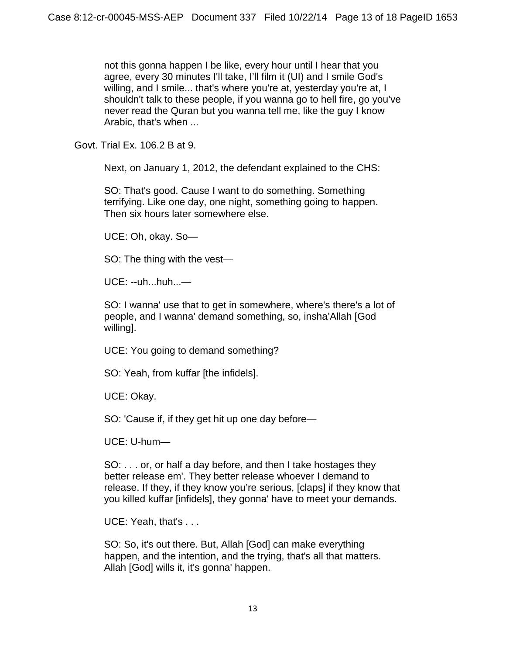not this gonna happen I be like, every hour until I hear that you agree, every 30 minutes I'll take, I'll film it (UI) and I smile God's willing, and I smile... that's where you're at, yesterday you're at, I shouldn't talk to these people, if you wanna go to hell fire, go you've never read the Quran but you wanna tell me, like the guy I know Arabic, that's when ...

Govt. Trial Ex. 106.2 B at 9.

Next, on January 1, 2012, the defendant explained to the CHS:

SO: That's good. Cause I want to do something. Something terrifying. Like one day, one night, something going to happen. Then six hours later somewhere else.

UCE: Oh, okay. So—

SO: The thing with the vest—

 $UCF: -uh...huh...$ 

SO: I wanna' use that to get in somewhere, where's there's a lot of people, and I wanna' demand something, so, insha'Allah [God willing].

UCE: You going to demand something?

SO: Yeah, from kuffar [the infidels].

UCE: Okay.

SO: 'Cause if, if they get hit up one day before—

UCE: U-hum—

SO: . . . or, or half a day before, and then I take hostages they better release em'. They better release whoever I demand to release. If they, if they know you're serious, [claps] if they know that you killed kuffar [infidels], they gonna' have to meet your demands.

UCE: Yeah, that's . . .

SO: So, it's out there. But, Allah [God] can make everything happen, and the intention, and the trying, that's all that matters. Allah [God] wills it, it's gonna' happen.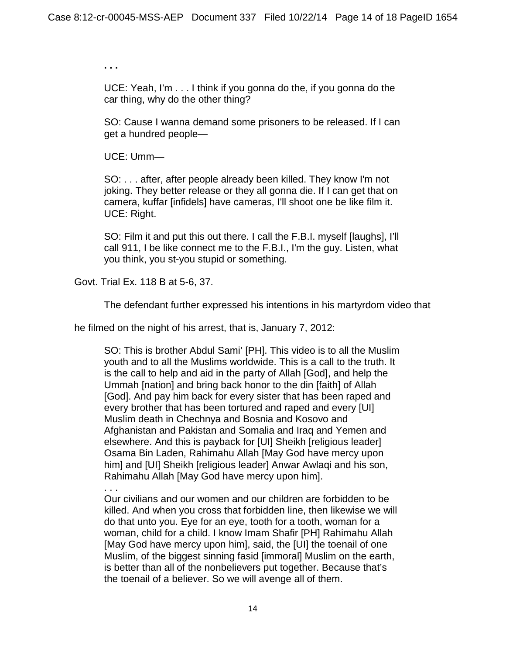**. . .** 

UCE: Yeah, I'm . . . I think if you gonna do the, if you gonna do the car thing, why do the other thing?

SO: Cause I wanna demand some prisoners to be released. If I can get a hundred people—

UCE: Umm—

SO: . . . after, after people already been killed. They know I'm not joking. They better release or they all gonna die. If I can get that on camera, kuffar [infidels] have cameras, I'll shoot one be like film it. UCE: Right.

SO: Film it and put this out there. I call the F.B.I. myself [laughs], I'll call 911, I be like connect me to the F.B.I., I'm the guy. Listen, what you think, you st-you stupid or something.

Govt. Trial Ex. 118 B at 5-6, 37.

The defendant further expressed his intentions in his martyrdom video that

he filmed on the night of his arrest, that is, January 7, 2012:

SO: This is brother Abdul Sami' [PH]. This video is to all the Muslim youth and to all the Muslims worldwide. This is a call to the truth. It is the call to help and aid in the party of Allah [God], and help the Ummah [nation] and bring back honor to the din [faith] of Allah [God]. And pay him back for every sister that has been raped and every brother that has been tortured and raped and every [UI] Muslim death in Chechnya and Bosnia and Kosovo and Afghanistan and Pakistan and Somalia and Iraq and Yemen and elsewhere. And this is payback for [UI] Sheikh [religious leader] Osama Bin Laden, Rahimahu Allah [May God have mercy upon him] and [UI] Sheikh [religious leader] Anwar Awlaqi and his son, Rahimahu Allah [May God have mercy upon him].

. . . Our civilians and our women and our children are forbidden to be killed. And when you cross that forbidden line, then likewise we will do that unto you. Eye for an eye, tooth for a tooth, woman for a woman, child for a child. I know Imam Shafir [PH] Rahimahu Allah [May God have mercy upon him], said, the [UI] the toenail of one Muslim, of the biggest sinning fasid [immoral] Muslim on the earth, is better than all of the nonbelievers put together. Because that's the toenail of a believer. So we will avenge all of them.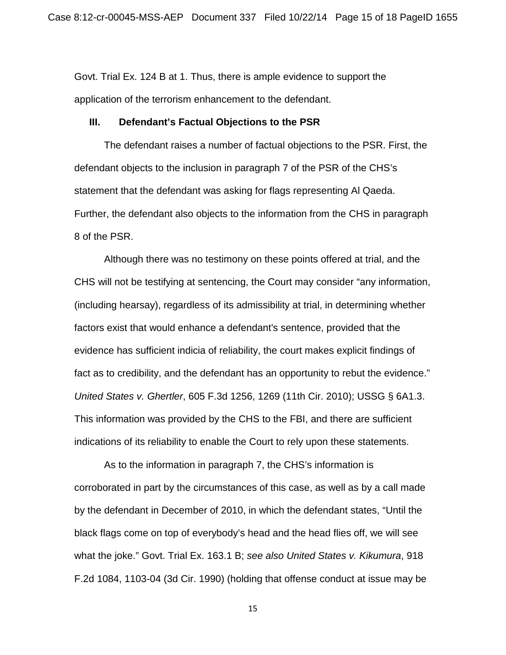Govt. Trial Ex. 124 B at 1. Thus, there is ample evidence to support the application of the terrorism enhancement to the defendant.

#### **III. Defendant's Factual Objections to the PSR**

The defendant raises a number of factual objections to the PSR. First, the defendant objects to the inclusion in paragraph 7 of the PSR of the CHS's statement that the defendant was asking for flags representing Al Qaeda. Further, the defendant also objects to the information from the CHS in paragraph 8 of the PSR.

Although there was no testimony on these points offered at trial, and the CHS will not be testifying at sentencing, the Court may consider "any information, (including hearsay), regardless of its admissibility at trial, in determining whether factors exist that would enhance a defendant's sentence, provided that the evidence has sufficient indicia of reliability, the court makes explicit findings of fact as to credibility, and the defendant has an opportunity to rebut the evidence." *United States v. Ghertler*, 605 F.3d 1256, 1269 (11th Cir. 2010); USSG § 6A1.3. This information was provided by the CHS to the FBI, and there are sufficient indications of its reliability to enable the Court to rely upon these statements.

As to the information in paragraph 7, the CHS's information is corroborated in part by the circumstances of this case, as well as by a call made by the defendant in December of 2010, in which the defendant states, "Until the black flags come on top of everybody's head and the head flies off, we will see what the joke." Govt. Trial Ex. 163.1 B; *see also United States v. Kikumura*, 918 F.2d 1084, 1103-04 (3d Cir. 1990) (holding that offense conduct at issue may be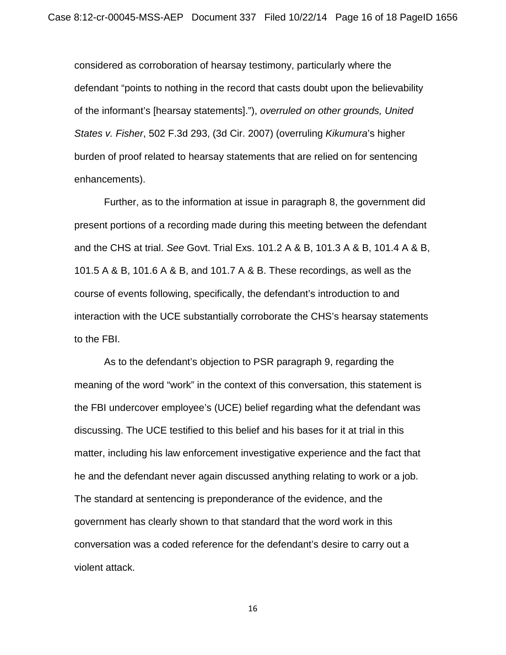considered as corroboration of hearsay testimony, particularly where the defendant "points to nothing in the record that casts doubt upon the believability of the informant's [hearsay statements]."), *overruled on other grounds, United States v. Fisher*, 502 F.3d 293, (3d Cir. 2007) (overruling *Kikumura*'s higher burden of proof related to hearsay statements that are relied on for sentencing enhancements).

Further, as to the information at issue in paragraph 8, the government did present portions of a recording made during this meeting between the defendant and the CHS at trial. *See* Govt. Trial Exs. 101.2 A & B, 101.3 A & B, 101.4 A & B, 101.5 A & B, 101.6 A & B, and 101.7 A & B. These recordings, as well as the course of events following, specifically, the defendant's introduction to and interaction with the UCE substantially corroborate the CHS's hearsay statements to the FBI.

As to the defendant's objection to PSR paragraph 9, regarding the meaning of the word "work" in the context of this conversation, this statement is the FBI undercover employee's (UCE) belief regarding what the defendant was discussing. The UCE testified to this belief and his bases for it at trial in this matter, including his law enforcement investigative experience and the fact that he and the defendant never again discussed anything relating to work or a job. The standard at sentencing is preponderance of the evidence, and the government has clearly shown to that standard that the word work in this conversation was a coded reference for the defendant's desire to carry out a violent attack.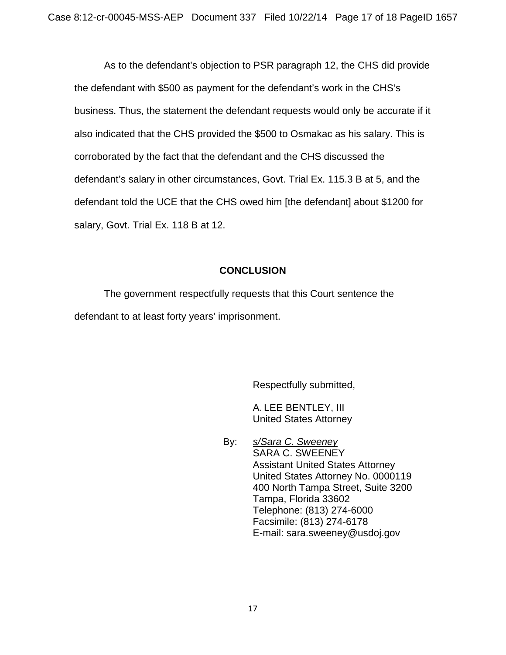As to the defendant's objection to PSR paragraph 12, the CHS did provide the defendant with \$500 as payment for the defendant's work in the CHS's business. Thus, the statement the defendant requests would only be accurate if it also indicated that the CHS provided the \$500 to Osmakac as his salary. This is corroborated by the fact that the defendant and the CHS discussed the defendant's salary in other circumstances, Govt. Trial Ex. 115.3 B at 5, and the defendant told the UCE that the CHS owed him [the defendant] about \$1200 for salary, Govt. Trial Ex. 118 B at 12.

# **CONCLUSION**

The government respectfully requests that this Court sentence the defendant to at least forty years' imprisonment.

Respectfully submitted,

A. LEE BENTLEY, III United States Attorney

By: *s/Sara C. Sweeney* SARA C. SWEENEY Assistant United States Attorney United States Attorney No. 0000119 400 North Tampa Street, Suite 3200 Tampa, Florida 33602 Telephone: (813) 274-6000 Facsimile: (813) 274-6178 E-mail: sara.sweeney@usdoj.gov